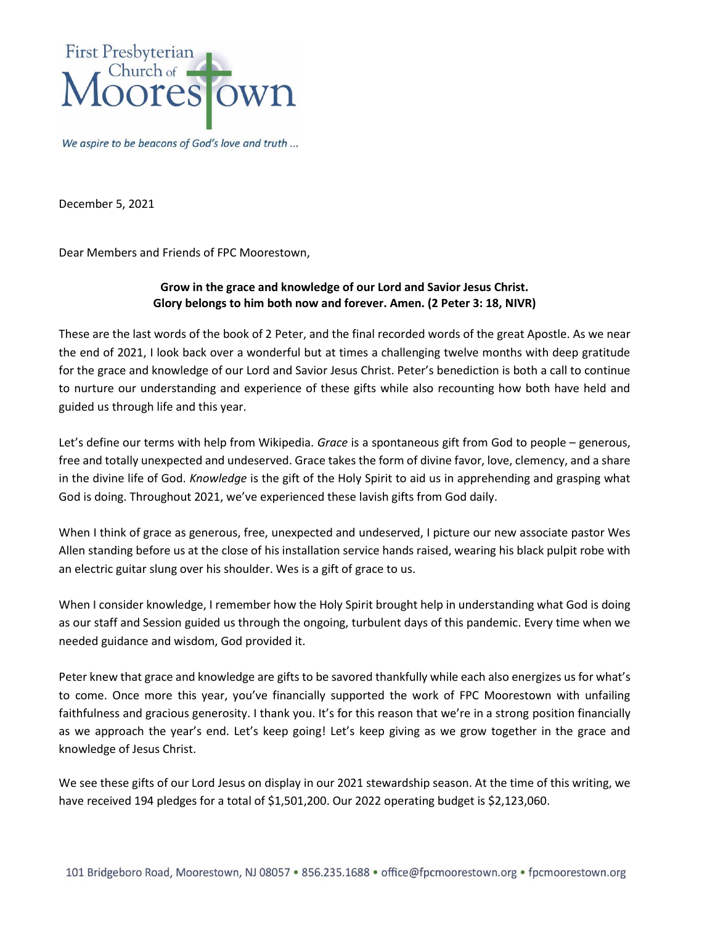

We aspire to be beacons of God's love and truth ...

December 5, 2021

Dear Members and Friends of FPC Moorestown,

## **Grow in the grace and knowledge of our Lord and Savior Jesus Christ. Glory belongs to him both now and forever. Amen. (2 Peter 3: 18, NIVR)**

These are the last words of the book of 2 Peter, and the final recorded words of the great Apostle. As we near the end of 2021, I look back over a wonderful but at times a challenging twelve months with deep gratitude for the grace and knowledge of our Lord and Savior Jesus Christ. Peter's benediction is both a call to continue to nurture our understanding and experience of these gifts while also recounting how both have held and guided us through life and this year.

Let's define our terms with help from Wikipedia. *Grace* is a spontaneous gift from God to people – generous, free and totally unexpected and undeserved. Grace takes the form of divine favor, love, clemency, and a share in the divine life of God. *Knowledge* is the gift of the Holy Spirit to aid us in apprehending and grasping what God is doing. Throughout 2021, we've experienced these lavish gifts from God daily.

When I think of grace as generous, free, unexpected and undeserved, I picture our new associate pastor Wes Allen standing before us at the close of his installation service hands raised, wearing his black pulpit robe with an electric guitar slung over his shoulder. Wes is a gift of grace to us.

When I consider knowledge, I remember how the Holy Spirit brought help in understanding what God is doing as our staff and Session guided us through the ongoing, turbulent days of this pandemic. Every time when we needed guidance and wisdom, God provided it.

Peter knew that grace and knowledge are gifts to be savored thankfully while each also energizes us for what's to come. Once more this year, you've financially supported the work of FPC Moorestown with unfailing faithfulness and gracious generosity. I thank you. It's for this reason that we're in a strong position financially as we approach the year's end. Let's keep going! Let's keep giving as we grow together in the grace and knowledge of Jesus Christ.

We see these gifts of our Lord Jesus on display in our 2021 stewardship season. At the time of this writing, we have received 194 pledges for a total of \$1,501,200. Our 2022 operating budget is \$2,123,060.